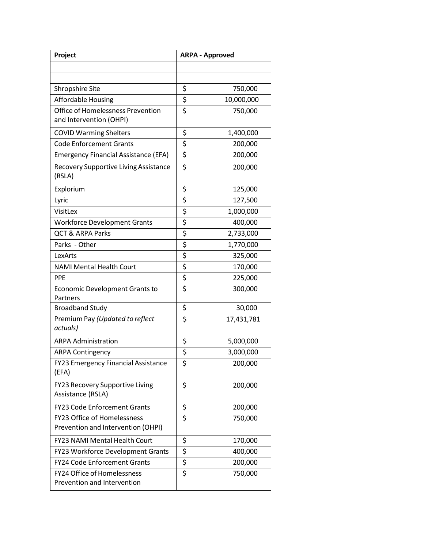| Project                                                           | <b>ARPA - Approved</b>          |            |
|-------------------------------------------------------------------|---------------------------------|------------|
|                                                                   |                                 |            |
|                                                                   |                                 |            |
| <b>Shropshire Site</b>                                            | \$                              | 750,000    |
| <b>Affordable Housing</b>                                         | \$                              | 10,000,000 |
| Office of Homelessness Prevention<br>and Intervention (OHPI)      | $\overline{\boldsymbol{\zeta}}$ | 750,000    |
| <b>COVID Warming Shelters</b>                                     | \$                              | 1,400,000  |
| <b>Code Enforcement Grants</b>                                    | \$                              | 200,000    |
| <b>Emergency Financial Assistance (EFA)</b>                       | \$                              | 200,000    |
| <b>Recovery Supportive Living Assistance</b><br>(RSLA)            | \$                              | 200,000    |
| Explorium                                                         | \$                              | 125,000    |
| Lyric                                                             | \$                              | 127,500    |
| VisitLex                                                          | \$                              | 1,000,000  |
| <b>Workforce Development Grants</b>                               | \$                              | 400,000    |
| <b>QCT &amp; ARPA Parks</b>                                       | \$                              | 2,733,000  |
| Parks - Other                                                     | \$                              | 1,770,000  |
| LexArts                                                           | \$                              | 325,000    |
| <b>NAMI Mental Health Court</b>                                   | \$                              | 170,000    |
| <b>PPE</b>                                                        | \$                              | 225,000    |
| Economic Development Grants to<br>Partners                        | \$                              | 300,000    |
| <b>Broadband Study</b>                                            | \$                              | 30,000     |
| Premium Pay (Updated to reflect<br>actuals)                       | \$                              | 17,431,781 |
| <b>ARPA Administration</b>                                        | \$                              | 5,000,000  |
| <b>ARPA Contingency</b>                                           | \$                              | 3,000,000  |
| FY23 Emergency Financial Assistance<br>(EFA)                      | \$                              | 200,000    |
| FY23 Recovery Supportive Living<br>Assistance (RSLA)              | \$                              | 200,000    |
| <b>FY23 Code Enforcement Grants</b>                               | \$                              | 200,000    |
| FY23 Office of Homelessness<br>Prevention and Intervention (OHPI) | \$                              | 750,000    |
| FY23 NAMI Mental Health Court                                     | \$                              | 170,000    |
| FY23 Workforce Development Grants                                 | \$                              | 400,000    |
| <b>FY24 Code Enforcement Grants</b>                               | \$                              | 200,000    |
| FY24 Office of Homelessness<br>Prevention and Intervention        | \$                              | 750,000    |